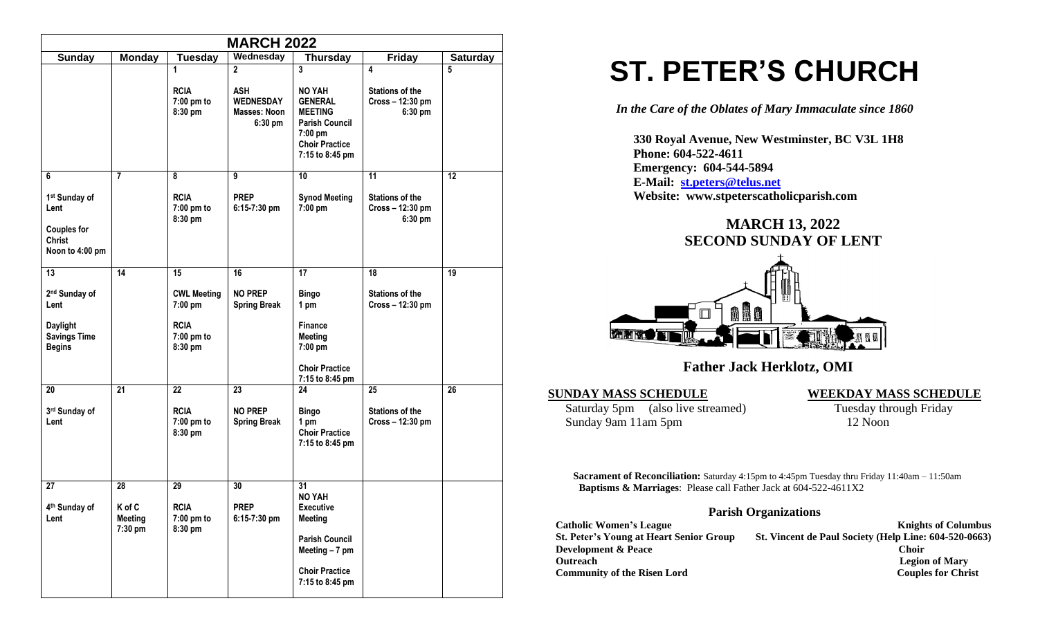|                                                                                                               |                                           |                                            | <b>MARCH 2022</b>                                                         |                                                                                                                                            |                                                            |                 |  |  |
|---------------------------------------------------------------------------------------------------------------|-------------------------------------------|--------------------------------------------|---------------------------------------------------------------------------|--------------------------------------------------------------------------------------------------------------------------------------------|------------------------------------------------------------|-----------------|--|--|
| <b>Friday</b><br><b>Sunday</b><br><b>Monday</b><br>Wednesday<br><b>Thursday</b><br><b>Saturday</b><br>Tuesday |                                           |                                            |                                                                           |                                                                                                                                            |                                                            |                 |  |  |
|                                                                                                               |                                           | 1<br><b>RCIA</b><br>7:00 pm to<br>8:30 pm  | $\mathbf{2}$<br><b>ASH</b><br><b>WEDNESDAY</b><br>Masses: Noon<br>6:30 pm | $\mathbf{3}$<br>NO YAH<br><b>GENERAL</b><br><b>MEETING</b><br><b>Parish Council</b><br>7:00 pm<br><b>Choir Practice</b><br>7:15 to 8:45 pm | 4<br><b>Stations of the</b><br>Cross - 12:30 pm<br>6:30 pm | 5               |  |  |
| 6                                                                                                             | $\overline{7}$                            | 8                                          | 9                                                                         | 10                                                                                                                                         | 11                                                         | $\overline{12}$ |  |  |
| 1st Sunday of<br>Lent<br><b>Couples for</b><br><b>Christ</b><br>Noon to 4:00 pm                               |                                           | <b>RCIA</b><br>7:00 pm to<br>8:30 pm       | <b>PREP</b><br>$6:15-7:30$ pm                                             | <b>Synod Meeting</b><br>7:00 pm                                                                                                            | <b>Stations of the</b><br>Cross - 12:30 pm<br>6:30 pm      |                 |  |  |
| 13                                                                                                            | 14                                        | 15                                         | 16                                                                        | 17                                                                                                                                         | 18                                                         | 19              |  |  |
| 2 <sup>nd</sup> Sunday of<br>Lent                                                                             |                                           | <b>CWL Meeting</b><br>7:00 pm              | <b>NO PREP</b><br><b>Spring Break</b>                                     | <b>Bingo</b><br>1 pm                                                                                                                       | <b>Stations of the</b><br>Cross - 12:30 pm                 |                 |  |  |
| <b>Daylight</b><br><b>Savings Time</b><br><b>Begins</b>                                                       |                                           | <b>RCIA</b><br>7:00 pm to<br>8:30 pm       |                                                                           | <b>Finance</b><br><b>Meeting</b><br>7:00 pm<br><b>Choir Practice</b>                                                                       |                                                            |                 |  |  |
| 20                                                                                                            | 21                                        | 22                                         | 23                                                                        | 7:15 to 8:45 pm<br>24                                                                                                                      | 25                                                         | 26              |  |  |
| 3rd Sunday of<br>Lent                                                                                         |                                           | <b>RCIA</b><br>7:00 pm to<br>8:30 pm       | <b>NO PREP</b><br><b>Spring Break</b>                                     | <b>Bingo</b><br>1 pm<br><b>Choir Practice</b><br>7:15 to 8:45 pm                                                                           | <b>Stations of the</b><br>Cross - 12:30 pm                 |                 |  |  |
| 27<br>4 <sup>th</sup> Sunday of<br>Lent                                                                       | 28<br>K of C<br><b>Meeting</b><br>7:30 pm | 29<br><b>RCIA</b><br>7:00 pm to<br>8:30 pm | 30<br><b>PREP</b><br>6:15-7:30 pm                                         | 31<br>NO YAH<br><b>Executive</b><br><b>Meeting</b><br><b>Parish Council</b><br>Meeting $-7$ pm<br><b>Choir Practice</b><br>7:15 to 8:45 pm |                                                            |                 |  |  |

# **ST. PETER'S CHURCH**

*In the Care of the Oblates of Mary Immaculate since 1860*

 **330 Royal Avenue, New Westminster, BC V3L 1H8 Phone: 604-522-4611 Emergency: 604-544-5894 E-Mail: [st.peters@telus.net](mailto:st.peters@telus.net) Website: www.stpeterscatholicparish.com**

## **MARCH 13, 2022 SECOND SUNDAY OF LENT**



### **Father Jack Herklotz, OMI**

**SUNDAY MASS SCHEDULE**<br>
Saturday 5pm (also live streamed) **WEEKDAY MASS SCHEDULE**<br>
Tuesday through Friday Saturday 5pm (also live streamed) Sunday 9am 11am 5pm 12 Noon

**Sacrament of Reconciliation:** Saturday 4:15pm to 4:45pm Tuesday thru Friday 11:40am – 11:50am  **Baptisms & Marriages**: Please call Father Jack at 604-522-4611X2

#### **Parish Organizations**

| <b>Catholic Women's League</b>                 | <b>Knights of Columbus</b>                            |
|------------------------------------------------|-------------------------------------------------------|
| <b>St. Peter's Young at Heart Senior Group</b> | St. Vincent de Paul Society (Help Line: 604-520-0663) |
| <b>Development &amp; Peace</b>                 | <b>Choir</b>                                          |
| <b>Outreach</b>                                | <b>Legion of Mary</b>                                 |
| <b>Community of the Risen Lord</b>             | <b>Couples for Christ</b>                             |